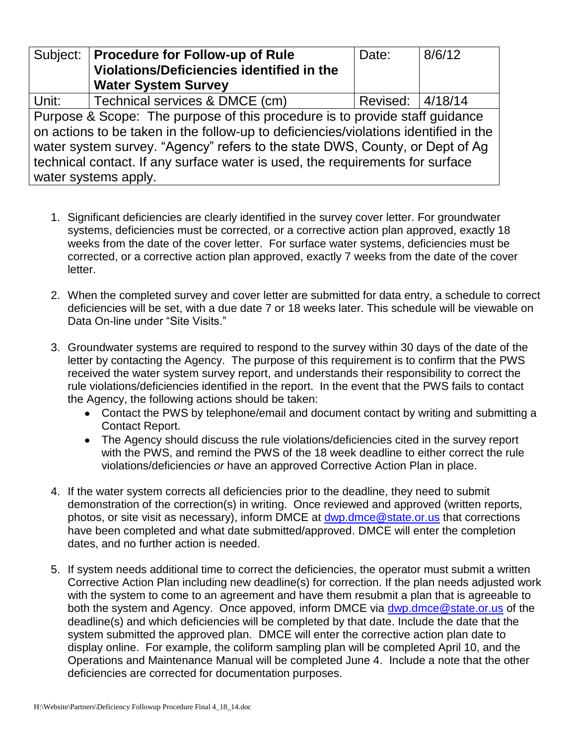|                                                                                      | Subject:   Procedure for Follow-up of Rule<br>Violations/Deficiencies identified in the | Date:              | 8/6/12 |
|--------------------------------------------------------------------------------------|-----------------------------------------------------------------------------------------|--------------------|--------|
|                                                                                      | <b>Water System Survey</b>                                                              |                    |        |
| Unit:                                                                                | Technical services & DMCE (cm)                                                          | Revised:   4/18/14 |        |
| Purpose & Scope: The purpose of this procedure is to provide staff guidance          |                                                                                         |                    |        |
| on actions to be taken in the follow-up to deficiencies/violations identified in the |                                                                                         |                    |        |
| water system survey. "Agency" refers to the state DWS, County, or Dept of Ag         |                                                                                         |                    |        |
| technical contact. If any surface water is used, the requirements for surface        |                                                                                         |                    |        |
| water systems apply.                                                                 |                                                                                         |                    |        |

- 1. Significant deficiencies are clearly identified in the survey cover letter. For groundwater systems, deficiencies must be corrected, or a corrective action plan approved, exactly 18 weeks from the date of the cover letter. For surface water systems, deficiencies must be corrected, or a corrective action plan approved, exactly 7 weeks from the date of the cover letter.
- 2. When the completed survey and cover letter are submitted for data entry, a schedule to correct deficiencies will be set, with a due date 7 or 18 weeks later. This schedule will be viewable on Data On-line under "Site Visits."
- 3. Groundwater systems are required to respond to the survey within 30 days of the date of the letter by contacting the Agency. The purpose of this requirement is to confirm that the PWS received the water system survey report, and understands their responsibility to correct the rule violations/deficiencies identified in the report. In the event that the PWS fails to contact the Agency, the following actions should be taken:
	- Contact the PWS by telephone/email and document contact by writing and submitting a Contact Report.
	- The Agency should discuss the rule violations/deficiencies cited in the survey report with the PWS, and remind the PWS of the 18 week deadline to either correct the rule violations/deficiencies *or* have an approved Corrective Action Plan in place.
- 4. If the water system corrects all deficiencies prior to the deadline, they need to submit demonstration of the correction(s) in writing. Once reviewed and approved (written reports, photos, or site visit as necessary), inform DMCE at [dwp.dmce@state.or.us](mailto:dwp.dmce@state.or.us) that corrections have been completed and what date submitted/approved. DMCE will enter the completion dates, and no further action is needed.
- 5. If system needs additional time to correct the deficiencies, the operator must submit a written Corrective Action Plan including new deadline(s) for correction. If the plan needs adjusted work with the system to come to an agreement and have them resubmit a plan that is agreeable to both the system and Agency. Once appoved, inform DMCE via [dwp.dmce@state.or.us](mailto:dwp.dmce@state.or.us) of the deadline(s) and which deficiencies will be completed by that date. Include the date that the system submitted the approved plan. DMCE will enter the corrective action plan date to display online. For example, the coliform sampling plan will be completed April 10, and the Operations and Maintenance Manual will be completed June 4. Include a note that the other deficiencies are corrected for documentation purposes.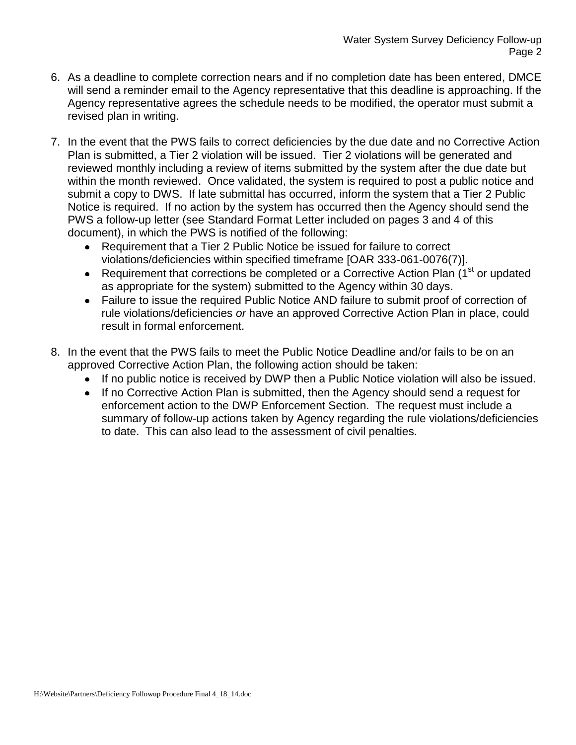- 6. As a deadline to complete correction nears and if no completion date has been entered, DMCE will send a reminder email to the Agency representative that this deadline is approaching. If the Agency representative agrees the schedule needs to be modified, the operator must submit a revised plan in writing.
- 7. In the event that the PWS fails to correct deficiencies by the due date and no Corrective Action Plan is submitted, a Tier 2 violation will be issued. Tier 2 violations will be generated and reviewed monthly including a review of items submitted by the system after the due date but within the month reviewed. Once validated, the system is required to post a public notice and submit a copy to DWS. If late submittal has occurred, inform the system that a Tier 2 Public Notice is required. If no action by the system has occurred then the Agency should send the PWS a follow-up letter (see Standard Format Letter included on pages 3 and 4 of this document), in which the PWS is notified of the following:
	- Requirement that a Tier 2 Public Notice be issued for failure to correct violations/deficiencies within specified timeframe [OAR 333-061-0076(7)].
	- Requirement that corrections be completed or a Corrective Action Plan  $(1<sup>st</sup>$  or updated as appropriate for the system) submitted to the Agency within 30 days.
	- Failure to issue the required Public Notice AND failure to submit proof of correction of rule violations/deficiencies *or* have an approved Corrective Action Plan in place, could result in formal enforcement.
- 8. In the event that the PWS fails to meet the Public Notice Deadline and/or fails to be on an approved Corrective Action Plan, the following action should be taken:
	- If no public notice is received by DWP then a Public Notice violation will also be issued.
	- If no Corrective Action Plan is submitted, then the Agency should send a request for enforcement action to the DWP Enforcement Section. The request must include a summary of follow-up actions taken by Agency regarding the rule violations/deficiencies to date. This can also lead to the assessment of civil penalties.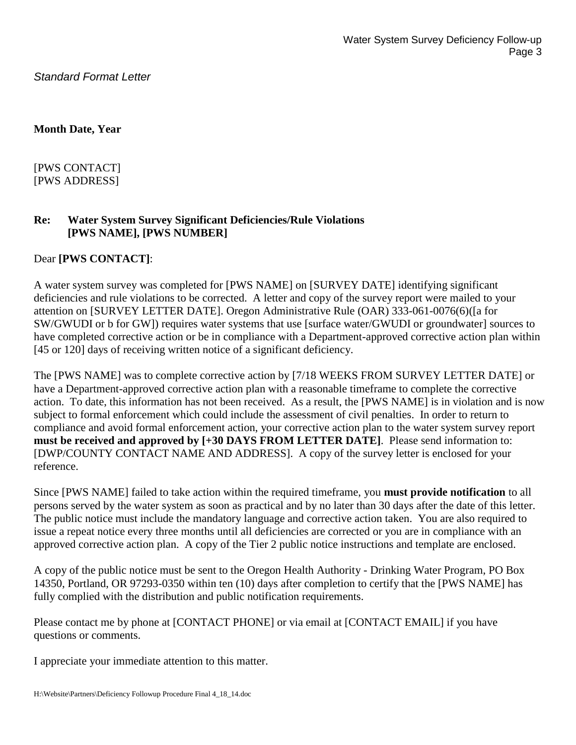*Standard Format Letter*

## **Month Date, Year**

[PWS CONTACT] [PWS ADDRESS]

## **Re: Water System Survey Significant Deficiencies/Rule Violations [PWS NAME], [PWS NUMBER]**

Dear **[PWS CONTACT]**:

A water system survey was completed for [PWS NAME] on [SURVEY DATE] identifying significant deficiencies and rule violations to be corrected. A letter and copy of the survey report were mailed to your attention on [SURVEY LETTER DATE]. Oregon Administrative Rule (OAR) 333-061-0076(6)([a for SW/GWUDI or b for GW]) requires water systems that use [surface water/GWUDI or groundwater] sources to have completed corrective action or be in compliance with a Department-approved corrective action plan within [45 or 120] days of receiving written notice of a significant deficiency.

The [PWS NAME] was to complete corrective action by [7/18 WEEKS FROM SURVEY LETTER DATE] or have a Department-approved corrective action plan with a reasonable timeframe to complete the corrective action. To date, this information has not been received. As a result, the [PWS NAME] is in violation and is now subject to formal enforcement which could include the assessment of civil penalties. In order to return to compliance and avoid formal enforcement action, your corrective action plan to the water system survey report **must be received and approved by [+30 DAYS FROM LETTER DATE]**. Please send information to: [DWP/COUNTY CONTACT NAME AND ADDRESS]. A copy of the survey letter is enclosed for your reference.

Since [PWS NAME] failed to take action within the required timeframe, you **must provide notification** to all persons served by the water system as soon as practical and by no later than 30 days after the date of this letter. The public notice must include the mandatory language and corrective action taken. You are also required to issue a repeat notice every three months until all deficiencies are corrected or you are in compliance with an approved corrective action plan. A copy of the Tier 2 public notice instructions and template are enclosed.

A copy of the public notice must be sent to the Oregon Health Authority - Drinking Water Program, PO Box 14350, Portland, OR 97293-0350 within ten (10) days after completion to certify that the [PWS NAME] has fully complied with the distribution and public notification requirements.

Please contact me by phone at [CONTACT PHONE] or via email at [CONTACT EMAIL] if you have questions or comments.

I appreciate your immediate attention to this matter.